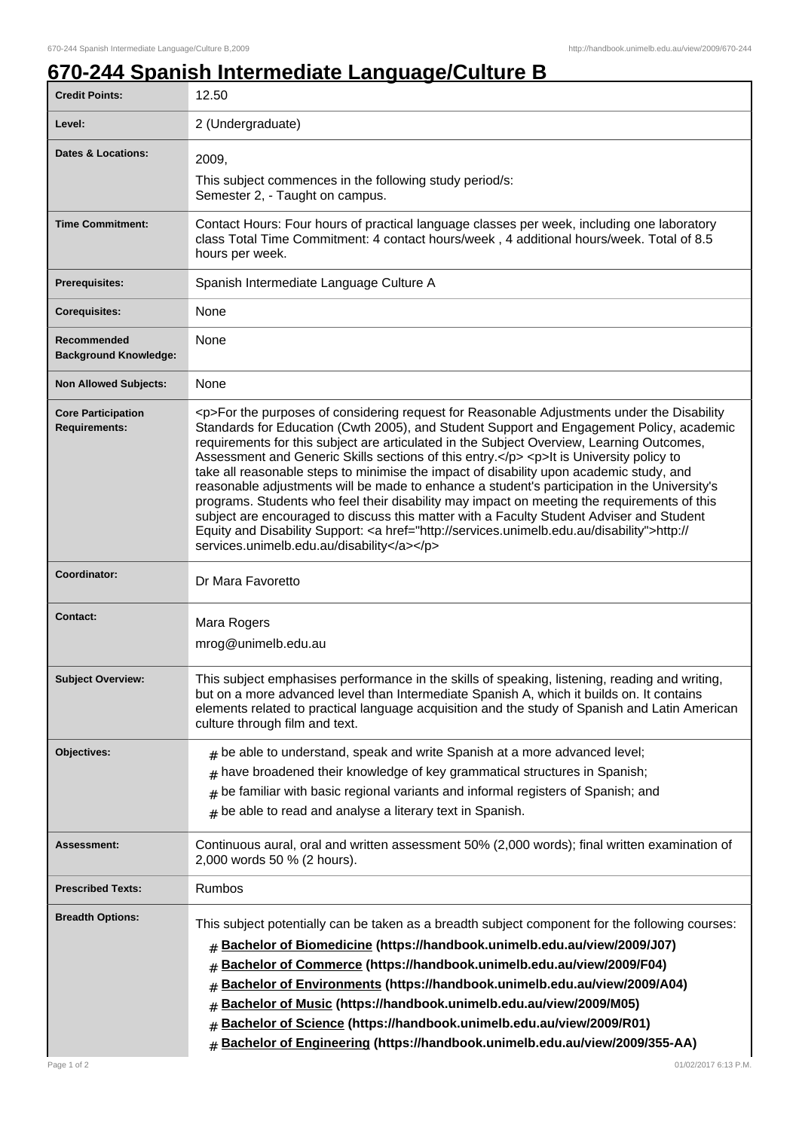## **670-244 Spanish Intermediate Language/Culture B**

| <b>Credit Points:</b>                             | 12.50                                                                                                                                                                                                                                                                                                                                                                                                                                                                                                                                                                                                                                                                                                                                                                                                                                                                                                                        |
|---------------------------------------------------|------------------------------------------------------------------------------------------------------------------------------------------------------------------------------------------------------------------------------------------------------------------------------------------------------------------------------------------------------------------------------------------------------------------------------------------------------------------------------------------------------------------------------------------------------------------------------------------------------------------------------------------------------------------------------------------------------------------------------------------------------------------------------------------------------------------------------------------------------------------------------------------------------------------------------|
| Level:                                            | 2 (Undergraduate)                                                                                                                                                                                                                                                                                                                                                                                                                                                                                                                                                                                                                                                                                                                                                                                                                                                                                                            |
| <b>Dates &amp; Locations:</b>                     | 2009,                                                                                                                                                                                                                                                                                                                                                                                                                                                                                                                                                                                                                                                                                                                                                                                                                                                                                                                        |
|                                                   | This subject commences in the following study period/s:<br>Semester 2, - Taught on campus.                                                                                                                                                                                                                                                                                                                                                                                                                                                                                                                                                                                                                                                                                                                                                                                                                                   |
| <b>Time Commitment:</b>                           | Contact Hours: Four hours of practical language classes per week, including one laboratory<br>class Total Time Commitment: 4 contact hours/week, 4 additional hours/week. Total of 8.5<br>hours per week.                                                                                                                                                                                                                                                                                                                                                                                                                                                                                                                                                                                                                                                                                                                    |
| <b>Prerequisites:</b>                             | Spanish Intermediate Language Culture A                                                                                                                                                                                                                                                                                                                                                                                                                                                                                                                                                                                                                                                                                                                                                                                                                                                                                      |
| <b>Corequisites:</b>                              | None                                                                                                                                                                                                                                                                                                                                                                                                                                                                                                                                                                                                                                                                                                                                                                                                                                                                                                                         |
| Recommended<br><b>Background Knowledge:</b>       | None                                                                                                                                                                                                                                                                                                                                                                                                                                                                                                                                                                                                                                                                                                                                                                                                                                                                                                                         |
| <b>Non Allowed Subjects:</b>                      | None                                                                                                                                                                                                                                                                                                                                                                                                                                                                                                                                                                                                                                                                                                                                                                                                                                                                                                                         |
| <b>Core Participation</b><br><b>Requirements:</b> | <p>For the purposes of considering request for Reasonable Adjustments under the Disability<br/>Standards for Education (Cwth 2005), and Student Support and Engagement Policy, academic<br/>requirements for this subject are articulated in the Subject Overview, Learning Outcomes,<br/>Assessment and Generic Skills sections of this entry.</p> <p>It is University policy to<br/>take all reasonable steps to minimise the impact of disability upon academic study, and<br/>reasonable adjustments will be made to enhance a student's participation in the University's<br/>programs. Students who feel their disability may impact on meeting the requirements of this<br/>subject are encouraged to discuss this matter with a Faculty Student Adviser and Student<br/>Equity and Disability Support: &lt; a href="http://services.unimelb.edu.au/disability"&gt;http://<br/>services.unimelb.edu.au/disability</p> |
| Coordinator:                                      | Dr Mara Favoretto                                                                                                                                                                                                                                                                                                                                                                                                                                                                                                                                                                                                                                                                                                                                                                                                                                                                                                            |
| <b>Contact:</b>                                   | Mara Rogers<br>mrog@unimelb.edu.au                                                                                                                                                                                                                                                                                                                                                                                                                                                                                                                                                                                                                                                                                                                                                                                                                                                                                           |
| <b>Subject Overview:</b>                          | This subject emphasises performance in the skills of speaking, listening, reading and writing,<br>but on a more advanced level than Intermediate Spanish A, which it builds on. It contains<br>elements related to practical language acquisition and the study of Spanish and Latin American<br>culture through film and text.                                                                                                                                                                                                                                                                                                                                                                                                                                                                                                                                                                                              |
| Objectives:                                       | $#$ be able to understand, speak and write Spanish at a more advanced level;<br>have broadened their knowledge of key grammatical structures in Spanish;<br>#<br>be familiar with basic regional variants and informal registers of Spanish; and<br>#<br>be able to read and analyse a literary text in Spanish.<br>#                                                                                                                                                                                                                                                                                                                                                                                                                                                                                                                                                                                                        |
| <b>Assessment:</b>                                | Continuous aural, oral and written assessment 50% (2,000 words); final written examination of<br>2,000 words 50 % (2 hours).                                                                                                                                                                                                                                                                                                                                                                                                                                                                                                                                                                                                                                                                                                                                                                                                 |
| <b>Prescribed Texts:</b>                          | Rumbos                                                                                                                                                                                                                                                                                                                                                                                                                                                                                                                                                                                                                                                                                                                                                                                                                                                                                                                       |
| <b>Breadth Options:</b><br>Page 1 of 2            | This subject potentially can be taken as a breadth subject component for the following courses:<br>Bachelor of Biomedicine (https://handbook.unimelb.edu.au/view/2009/J07)<br>#<br>Bachelor of Commerce (https://handbook.unimelb.edu.au/view/2009/F04)<br>#<br>Bachelor of Environments (https://handbook.unimelb.edu.au/view/2009/A04)<br>#<br>Bachelor of Music (https://handbook.unimelb.edu.au/view/2009/M05)<br>#<br>Bachelor of Science (https://handbook.unimelb.edu.au/view/2009/R01)<br>#<br>Bachelor of Engineering (https://handbook.unimelb.edu.au/view/2009/355-AA)<br>#<br>01/02/2017 6:13 P.M.                                                                                                                                                                                                                                                                                                               |